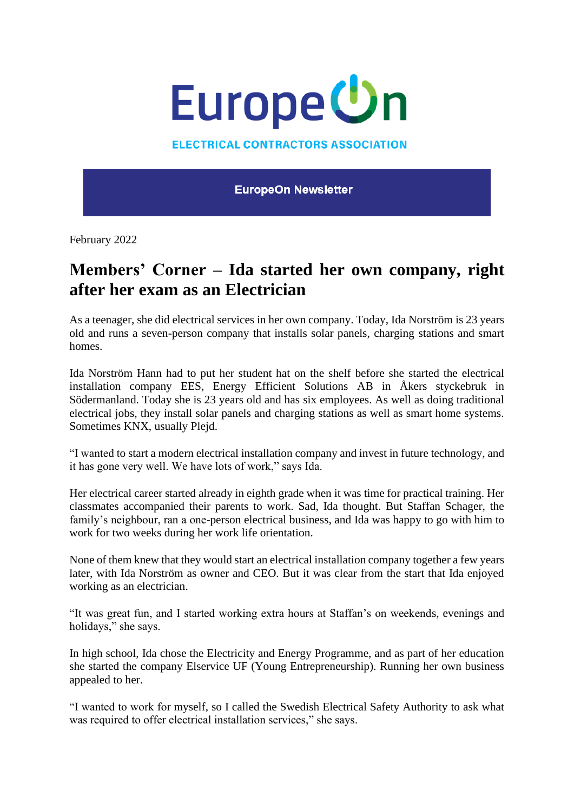

**ELECTRICAL CONTRACTORS ASSOCIATION** 

**EuropeOn Newsletter** 

February 2022

## **Members' Corner – Ida started her own company, right after her exam as an Electrician**

As a teenager, she did electrical services in her own company. Today, Ida Norström is 23 years old and runs a seven-person company that installs solar panels, charging stations and smart homes.

Ida Norström Hann had to put her student hat on the shelf before she started the electrical installation company EES, Energy Efficient Solutions AB in Åkers styckebruk in Södermanland. Today she is 23 years old and has six employees. As well as doing traditional electrical jobs, they install solar panels and charging stations as well as smart home systems. Sometimes KNX, usually Plejd.

"I wanted to start a modern electrical installation company and invest in future technology, and it has gone very well. We have lots of work," says Ida.

Her electrical career started already in eighth grade when it was time for practical training. Her classmates accompanied their parents to work. Sad, Ida thought. But Staffan Schager, the family's neighbour, ran a one-person electrical business, and Ida was happy to go with him to work for two weeks during her work life orientation.

None of them knew that they would start an electrical installation company together a few years later, with Ida Norström as owner and CEO. But it was clear from the start that Ida enjoyed working as an electrician.

"It was great fun, and I started working extra hours at Staffan's on weekends, evenings and holidays," she says.

In high school, Ida chose the Electricity and Energy Programme, and as part of her education she started the company Elservice UF (Young Entrepreneurship). Running her own business appealed to her.

"I wanted to work for myself, so I called the Swedish Electrical Safety Authority to ask what was required to offer electrical installation services," she says.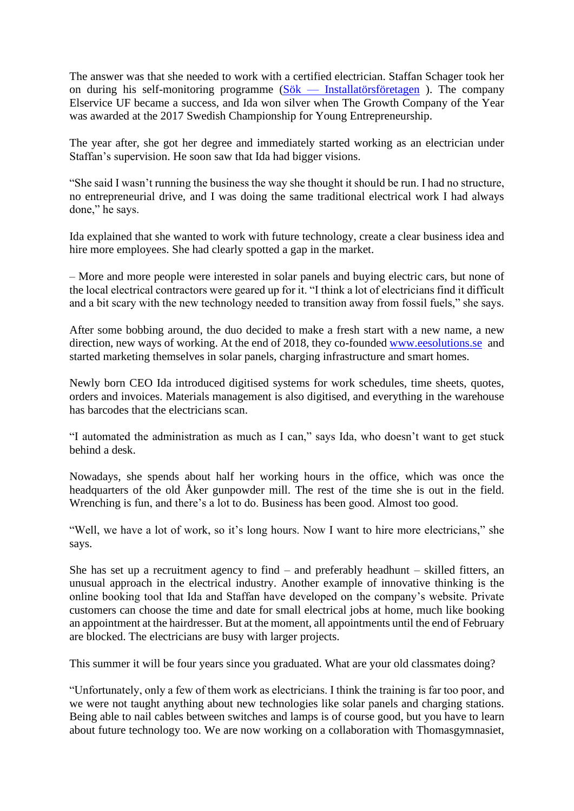The answer was that she needed to work with a certified electrician. Staffan Schager took her on during his self-monitoring programme  $(Sök - Installatörsföretagen)$  $(Sök - Installatörsföretagen)$  $(Sök - Installatörsföretagen)$ . The company Elservice UF became a success, and Ida won silver when The Growth Company of the Year was awarded at the 2017 Swedish Championship for Young Entrepreneurship.

The year after, she got her degree and immediately started working as an electrician under Staffan's supervision. He soon saw that Ida had bigger visions.

"She said I wasn't running the business the way she thought it should be run. I had no structure, no entrepreneurial drive, and I was doing the same traditional electrical work I had always done," he says.

Ida explained that she wanted to work with future technology, create a clear business idea and hire more employees. She had clearly spotted a gap in the market.

– More and more people were interested in solar panels and buying electric cars, but none of the local electrical contractors were geared up for it. "I think a lot of electricians find it difficult and a bit scary with the new technology needed to transition away from fossil fuels," she says.

After some bobbing around, the duo decided to make a fresh start with a new name, a new direction, new ways of working. At the end of 2018, they co-founded [www.eesolutions.se](http://www.eesolutions.se/) and started marketing themselves in solar panels, charging infrastructure and smart homes.

Newly born CEO Ida introduced digitised systems for work schedules, time sheets, quotes, orders and invoices. Materials management is also digitised, and everything in the warehouse has barcodes that the electricians scan.

"I automated the administration as much as I can," says Ida, who doesn't want to get stuck behind a desk.

Nowadays, she spends about half her working hours in the office, which was once the headquarters of the old Åker gunpowder mill. The rest of the time she is out in the field. Wrenching is fun, and there's a lot to do. Business has been good. Almost too good.

"Well, we have a lot of work, so it's long hours. Now I want to hire more electricians," she says.

She has set up a recruitment agency to find – and preferably headhunt – skilled fitters, an unusual approach in the electrical industry. Another example of innovative thinking is the online booking tool that Ida and Staffan have developed on the company's website. Private customers can choose the time and date for small electrical jobs at home, much like booking an appointment at the hairdresser. But at the moment, all appointments until the end of February are blocked. The electricians are busy with larger projects.

This summer it will be four years since you graduated. What are your old classmates doing?

"Unfortunately, only a few of them work as electricians. I think the training is far too poor, and we were not taught anything about new technologies like solar panels and charging stations. Being able to nail cables between switches and lamps is of course good, but you have to learn about future technology too. We are now working on a collaboration with Thomasgymnasiet,